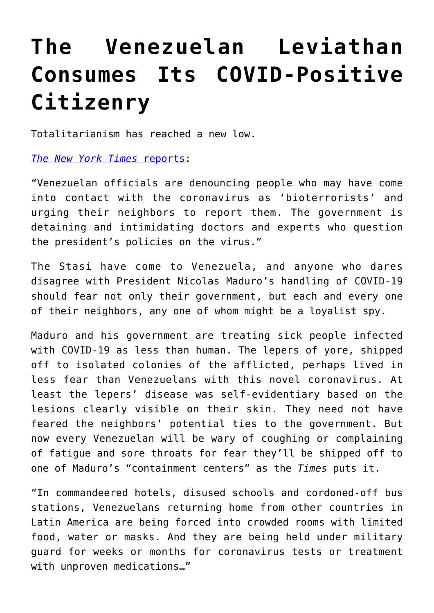## **[The Venezuelan Leviathan](https://intellectualtakeout.org/2020/08/the-venezuelan-leviathan-consumes-its-covid-positive-citizenry/) [Consumes Its COVID-Positive](https://intellectualtakeout.org/2020/08/the-venezuelan-leviathan-consumes-its-covid-positive-citizenry/) [Citizenry](https://intellectualtakeout.org/2020/08/the-venezuelan-leviathan-consumes-its-covid-positive-citizenry/)**

Totalitarianism has reached a new low.

*[The New York Times](https://www.nytimes.com/2020/08/19/world/americas/coronavirus-venezuela.html?action=click&module=Top%20Stories&pgtype=Homepage)* [reports:](https://www.nytimes.com/2020/08/19/world/americas/coronavirus-venezuela.html?action=click&module=Top%20Stories&pgtype=Homepage)

"Venezuelan officials are denouncing people who may have come into contact with the coronavirus as 'bioterrorists' and urging their neighbors to report them. The government is detaining and intimidating doctors and experts who question the president's policies on the virus."

The Stasi have come to Venezuela, and anyone who dares disagree with President Nicolas Maduro's handling of COVID-19 should fear not only their government, but each and every one of their neighbors, any one of whom might be a loyalist spy.

Maduro and his government are treating sick people infected with COVID-19 as less than human. The lepers of yore, shipped off to isolated colonies of the afflicted, perhaps lived in less fear than Venezuelans with this novel coronavirus. At least the lepers' disease was self-evidentiary based on the lesions clearly visible on their skin. They need not have feared the neighbors' potential ties to the government. But now every Venezuelan will be wary of coughing or complaining of fatigue and sore throats for fear they'll be shipped off to one of Maduro's "containment centers" as the *Times* puts it.

"In commandeered hotels, disused schools and cordoned-off bus stations, Venezuelans returning home from other countries in Latin America are being forced into crowded rooms with limited food, water or masks. And they are being held under military guard for weeks or months for coronavirus tests or treatment with unproven medications…"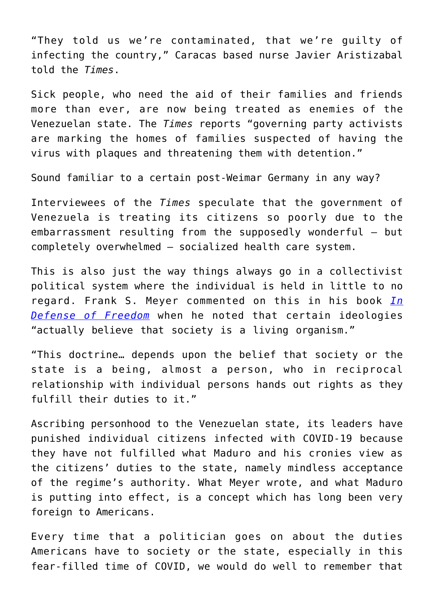"They told us we're contaminated, that we're guilty of infecting the country," Caracas based nurse Javier Aristizabal told the *Times*.

Sick people, who need the aid of their families and friends more than ever, are now being treated as enemies of the Venezuelan state. The *Times* reports "governing party activists are marking the homes of families suspected of having the virus with plaques and threatening them with detention."

Sound familiar to a certain post-Weimar Germany in any way?

Interviewees of the *Times* speculate that the government of Venezuela is treating its citizens so poorly due to the embarrassment resulting from the supposedly wonderful – but completely overwhelmed – socialized health care system.

This is also just the way things always go in a collectivist political system where the individual is held in little to no regard. Frank S. Meyer commented on this in his book *[In](https://www.amazon.com/gp/product/0865971404/ref=as_li_tl?ie=UTF8&camp=1789&creative=9325&creativeASIN=0865971404&linkCode=as2&tag=intelltakeo0d-20&linkId=4ac9a1e702b60818fb36940df12aadb3) [Defense of Freedom](https://www.amazon.com/gp/product/0865971404/ref=as_li_tl?ie=UTF8&camp=1789&creative=9325&creativeASIN=0865971404&linkCode=as2&tag=intelltakeo0d-20&linkId=4ac9a1e702b60818fb36940df12aadb3)* when he noted that certain ideologies "actually believe that society is a living organism."

"This doctrine… depends upon the belief that society or the state is a being, almost a person, who in reciprocal relationship with individual persons hands out rights as they fulfill their duties to it."

Ascribing personhood to the Venezuelan state, its leaders have punished individual citizens infected with COVID-19 because they have not fulfilled what Maduro and his cronies view as the citizens' duties to the state, namely mindless acceptance of the regime's authority. What Meyer wrote, and what Maduro is putting into effect, is a concept which has long been very foreign to Americans.

Every time that a politician goes on about the duties Americans have to society or the state, especially in this fear-filled time of COVID, we would do well to remember that